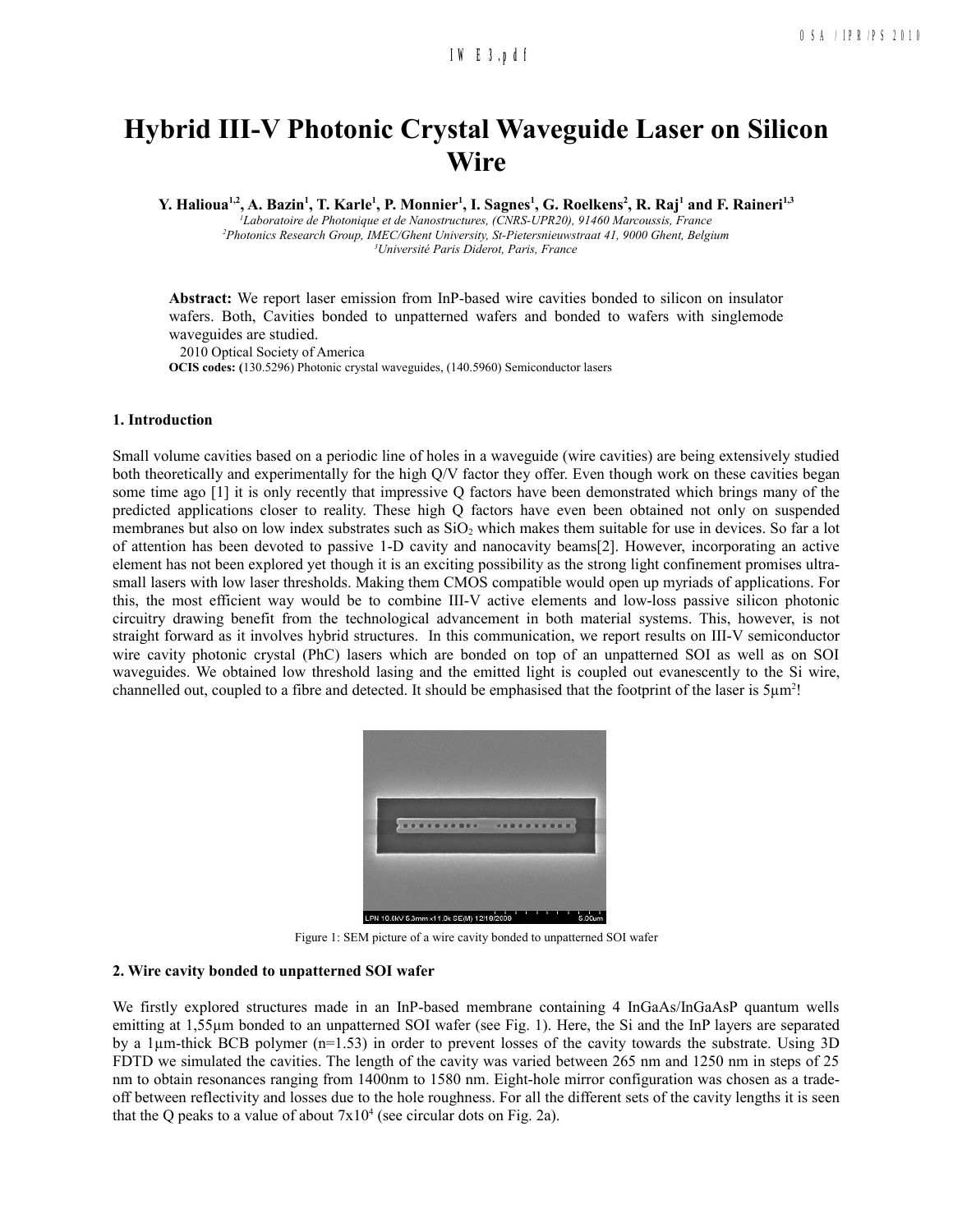# **a219\_1.pdf IWE3.pdf**

# **Hybrid III-V Photonic Crystal Waveguide Laser on Silicon Wire**

**Y. Halioua1,2, A. Bazin<sup>1</sup> , T. Karle<sup>1</sup> , P. Monnier<sup>1</sup> , I. Sagnes<sup>1</sup> , G. Roelkens<sup>2</sup> , R. Raj<sup>1</sup> and F. Raineri1,3**

*<sup>1</sup>Laboratoire de Photonique et de Nanostructures, (CNRS-UPR20), 91460 Marcoussis, France <sup>2</sup>Photonics Research Group, IMEC/Ghent University, St-Pietersnieuwstraat 41, 9000 Ghent, Belgium <sup>3</sup>Université Paris Diderot, Paris, France*

**Abstract:** We report laser emission from InP-based wire cavities bonded to silicon on insulator wafers. Both, Cavities bonded to unpatterned wafers and bonded to wafers with singlemode waveguides are studied.

2010 Optical Society of America **OCIS codes: (**130.5296) Photonic crystal waveguides, (140.5960) Semiconductor lasers

### **1. Introduction**

Small volume cavities based on a periodic line of holes in a waveguide (wire cavities) are being extensively studied both theoretically and experimentally for the high Q/V factor they offer. Even though work on these cavities began some time ago [1] it is only recently that impressive Q factors have been demonstrated which brings many of the predicted applications closer to reality. These high Q factors have even been obtained not only on suspended membranes but also on low index substrates such as  $SiO<sub>2</sub>$  which makes them suitable for use in devices. So far a lot of attention has been devoted to passive 1-D cavity and nanocavity beams[2]. However, incorporating an active element has not been explored yet though it is an exciting possibility as the strong light confinement promises ultrasmall lasers with low laser thresholds. Making them CMOS compatible would open up myriads of applications. For this, the most efficient way would be to combine III-V active elements and low-loss passive silicon photonic circuitry drawing benefit from the technological advancement in both material systems. This, however, is not straight forward as it involves hybrid structures. In this communication, we report results on III-V semiconductor wire cavity photonic crystal (PhC) lasers which are bonded on top of an unpatterned SOI as well as on SOI waveguides. We obtained low threshold lasing and the emitted light is coupled out evanescently to the Si wire, channelled out, coupled to a fibre and detected. It should be emphasised that the footprint of the laser is  $5\mu m^2$ !



Figure 1: SEM picture of a wire cavity bonded to unpatterned SOI wafer

#### **2. Wire cavity bonded to unpatterned SOI wafer**

We firstly explored structures made in an InP-based membrane containing 4 InGaAs/InGaAsP quantum wells emitting at 1,55µm bonded to an unpatterned SOI wafer (see Fig. 1). Here, the Si and the InP layers are separated by a 1µm-thick BCB polymer (n=1.53) in order to prevent losses of the cavity towards the substrate. Using 3D FDTD we simulated the cavities. The length of the cavity was varied between 265 nm and 1250 nm in steps of 25 nm to obtain resonances ranging from 1400nm to 1580 nm. Eight-hole mirror configuration was chosen as a tradeoff between reflectivity and losses due to the hole roughness. For all the different sets of the cavity lengths it is seen that the Q peaks to a value of about  $7x10^4$  (see circular dots on Fig. 2a).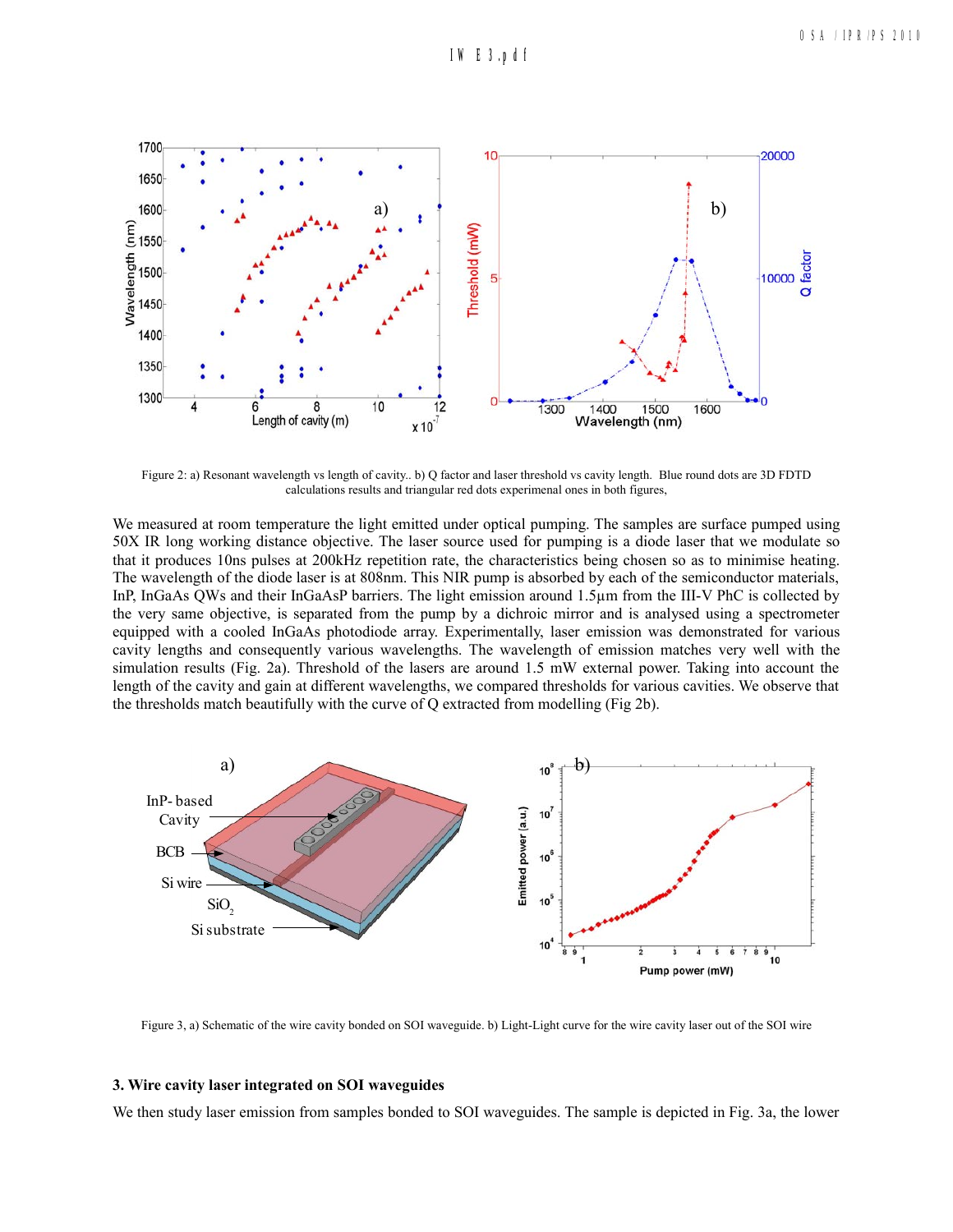

Figure 2: a) Resonant wavelength vs length of cavity.. b) Q factor and laser threshold vs cavity length. Blue round dots are 3D FDTD calculations results and triangular red dots experimenal ones in both figures,

We measured at room temperature the light emitted under optical pumping. The samples are surface pumped using 50X IR long working distance objective. The laser source used for pumping is a diode laser that we modulate so that it produces 10ns pulses at 200kHz repetition rate, the characteristics being chosen so as to minimise heating. The wavelength of the diode laser is at 808nm. This NIR pump is absorbed by each of the semiconductor materials, InP, InGaAs QWs and their InGaAsP barriers. The light emission around 1.5µm from the III-V PhC is collected by the very same objective, is separated from the pump by a dichroic mirror and is analysed using a spectrometer equipped with a cooled InGaAs photodiode array. Experimentally, laser emission was demonstrated for various cavity lengths and consequently various wavelengths. The wavelength of emission matches very well with the simulation results (Fig. 2a). Threshold of the lasers are around 1.5 mW external power. Taking into account the length of the cavity and gain at different wavelengths, we compared thresholds for various cavities. We observe that the thresholds match beautifully with the curve of Q extracted from modelling (Fig 2b).



Figure 3, a) Schematic of the wire cavity bonded on SOI waveguide. b) Light-Light curve for the wire cavity laser out of the SOI wire

## **3. Wire cavity laser integrated on SOI waveguides**

We then study laser emission from samples bonded to SOI waveguides. The sample is depicted in Fig. 3a, the lower